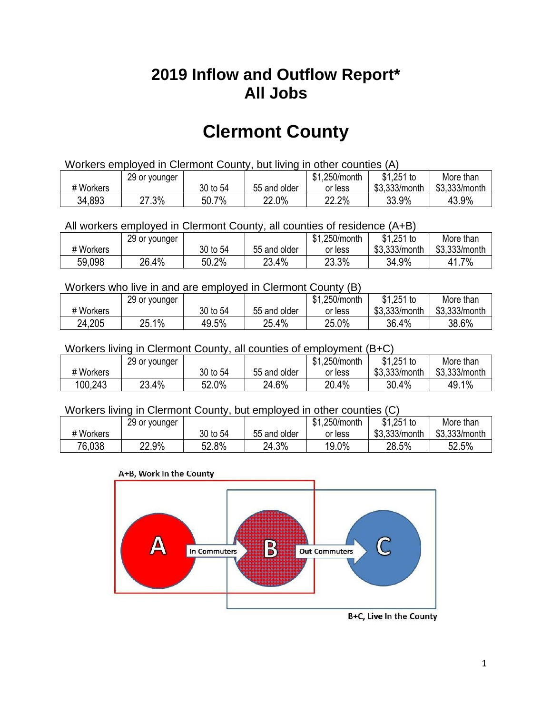## **2019 Inflow and Outflow Report\* All Jobs**

# **Clermont County**

| Workers employed in Clermont County, but living in other counties (A) |                                                            |          |              |         |               |               |  |  |  |
|-----------------------------------------------------------------------|------------------------------------------------------------|----------|--------------|---------|---------------|---------------|--|--|--|
|                                                                       | $$1,251$ to<br>\$1.250/month<br>More than<br>29 or younger |          |              |         |               |               |  |  |  |
| # Workers                                                             |                                                            | 30 to 54 | 55 and older | or less | \$3.333/month | \$3.333/month |  |  |  |
| 34,893                                                                | 27.3%                                                      | 50.7%    | 22.0%        | 22.2%   | 33.9%         | 43.9%         |  |  |  |

#### All workers employed in Clermont County, all counties of residence (A+B)

|           | 29 or younger |          |              | \$1,250/month | \$1,251 to    | More than     |
|-----------|---------------|----------|--------------|---------------|---------------|---------------|
| # Workers |               | 30 to 54 | 55 and older | or less       | \$3,333/month | \$3,333/month |
| 59,098    | 26.4%         | 50.2%    | 23.4%        | 23.3%         | 34.9%         | 41.7%         |

#### Workers who live in and are employed in Clermont County (B)

|           | 29 or younger |          |              | \$1,250/month | $$1,251$ to   | More than     |
|-----------|---------------|----------|--------------|---------------|---------------|---------------|
| # Workers |               | 30 to 54 | 55 and older | or less       | \$3,333/month | \$3,333/month |
| 24,205    | 25.1%         | 49.5%    | 25.4%        | 25.0%         | 36.4%         | 38.6%         |

#### Workers living in Clermont County, all counties of employment (B+C)

|           | 29 or younger |          |              | \$1,250/month | \$1,251 to    | More than     |
|-----------|---------------|----------|--------------|---------------|---------------|---------------|
| # Workers |               | 30 to 54 | 55 and older | or less       | \$3,333/month | \$3,333/month |
| 100,243   | 23.4%         | 52.0%    | 24.6%        | 20.4%         | 30.4%         | 49.1%         |

#### Workers living in Clermont County, but employed in other counties (C)

|           | 29 or younger |          |              | \$1,250/month | $$1,251$ to   | More than     |
|-----------|---------------|----------|--------------|---------------|---------------|---------------|
| # Workers |               | 30 to 54 | 55 and older | or less       | \$3,333/month | \$3,333/month |
| 76,038    | 22.9%         | 52.8%    | 24.3%        | 19.0%         | 28.5%         | 52.5%         |

#### A+B, Work In the County